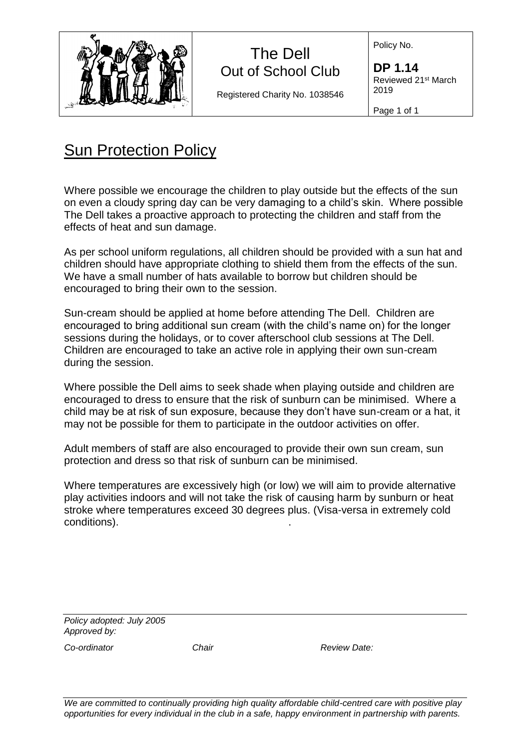

## The Dell Out of School Club

Registered Charity No. 1038546

Policy No.

**DP 1.14** Reviewed 21st March 2019

Page 1 of 1

## Sun Protection Policy

Where possible we encourage the children to play outside but the effects of the sun on even a cloudy spring day can be very damaging to a child's skin. Where possible The Dell takes a proactive approach to protecting the children and staff from the effects of heat and sun damage.

As per school uniform regulations, all children should be provided with a sun hat and children should have appropriate clothing to shield them from the effects of the sun. We have a small number of hats available to borrow but children should be encouraged to bring their own to the session.

Sun-cream should be applied at home before attending The Dell. Children are encouraged to bring additional sun cream (with the child's name on) for the longer sessions during the holidays, or to cover afterschool club sessions at The Dell. Children are encouraged to take an active role in applying their own sun-cream during the session.

Where possible the Dell aims to seek shade when playing outside and children are encouraged to dress to ensure that the risk of sunburn can be minimised. Where a child may be at risk of sun exposure, because they don't have sun-cream or a hat, it may not be possible for them to participate in the outdoor activities on offer.

Adult members of staff are also encouraged to provide their own sun cream, sun protection and dress so that risk of sunburn can be minimised.

Where temperatures are excessively high (or low) we will aim to provide alternative play activities indoors and will not take the risk of causing harm by sunburn or heat stroke where temperatures exceed 30 degrees plus. (Visa-versa in extremely cold conditions). .

*Policy adopted: July 2005 Approved by:*

*Co-ordinator Chair Review Date:* 

*We are committed to continually providing high quality affordable child-centred care with positive play opportunities for every individual in the club in a safe, happy environment in partnership with parents.*